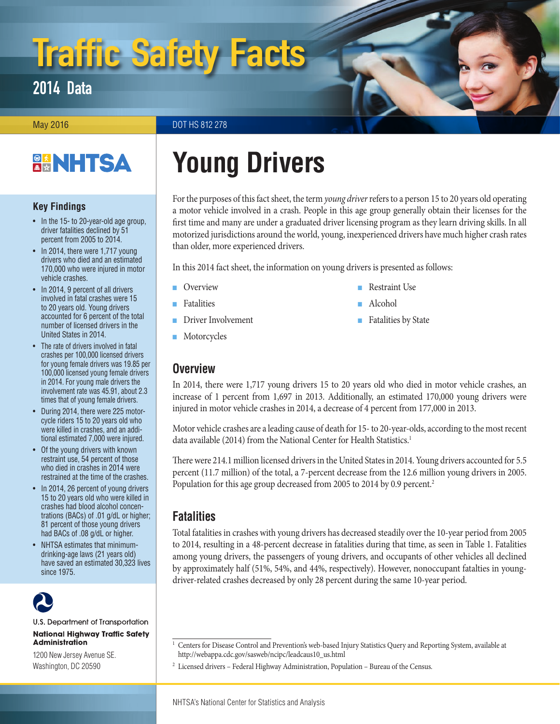# Traffic Safety Facts

## 2014 Data

May 2016 **DOT HS 812 278** 

## **BANHTSA**

#### **Key Findings**

- In the 15- to 20-year-old age group, driver fatalities declined by 51 percent from 2005 to 2014.
- In 2014, there were 1,717 young drivers who died and an estimated 170,000 who were injured in motor vehicle crashes.
- In 2014, 9 percent of all drivers involved in fatal crashes were 15 to 20 years old. Young drivers accounted for 6 percent of the total number of licensed drivers in the United States in 2014.
- The rate of drivers involved in fatal crashes per 100,000 licensed drivers for young female drivers was 19.85 per 100,000 licensed young female drivers in 2014. For young male drivers the involvement rate was 45.91, about 2.3 times that of young female drivers.
- During 2014, there were 225 motorcycle riders 15 to 20 years old who were killed in crashes, and an additional estimated 7,000 were injured.
- Of the young drivers with known restraint use, 54 percent of those who died in crashes in 2014 were restrained at the time of the crashes.
- In 2014, 26 percent of young drivers 15 to 20 years old who were killed in crashes had blood alcohol concentrations (BACs) of .01 g/dL or higher; 81 percent of those young drivers had BACs of .08 g/dL or higher.
- NHTSA estimates that minimumdrinking-age laws (21 years old) have saved an estimated 30,323 lives since 1975.

U.S. Department of Transportation **National Highway Traffic Safety Administration** 

1200 New Jersey Avenue SE. Washington, DC 20590

## **Young Drivers**

For the purposes of this fact sheet, the term *young driver* refers to a person 15 to 20 years old operating a motor vehicle involved in a crash. People in this age group generally obtain their licenses for the first time and many are under a graduated driver licensing program as they learn driving skills. In all motorized jurisdictions around the world, young, inexperienced drivers have much higher crash rates than older, more experienced drivers.

■ [Restraint Use](#page-3-0)

■ [Fatalities by State](#page-4-0)

■ [Alcohol](#page-3-1)

In this 2014 fact sheet, the information on young drivers is presented as follows:

- [Overview](#page-0-0)
- [Fatalities](#page-0-1)
- [Driver Involvement](#page-1-0)
- [Motorcycles](#page-2-0)

## <span id="page-0-0"></span>**Overview**

In 2014, there were 1,717 young drivers 15 to 20 years old who died in motor vehicle crashes, an increase of 1 percent from 1,697 in 2013. Additionally, an estimated 170,000 young drivers were injured in motor vehicle crashes in 2014, a decrease of 4 percent from 177,000 in 2013.

Motor vehicle crashes are a leading cause of death for 15- to 20-year-olds, according to the most recent data available (2014) from the National Center for Health Statistics.<sup>1</sup>

There were 214.1 million licensed drivers in the United States in 2014. Young drivers accounted for 5.5 percent (11.7 million) of the total, a 7-percent decrease from the 12.6 million young drivers in 2005. Population for this age group decreased from 2005 to 2014 by 0.9 percent.<sup>2</sup>

## <span id="page-0-1"></span>**Fatalities**

Total fatalities in crashes with young drivers has decreased steadily over the 10-year period from 2005 to 2014, resulting in a 48-percent decrease in fatalities during that time, as seen in Table 1. Fatalities among young drivers, the passengers of young drivers, and occupants of other vehicles all declined by approximately half (51%, 54%, and 44%, respectively). However, nonoccupant fatalties in youngdriver-related crashes decreased by only 28 percent during the same 10-year period.

<sup>&</sup>lt;sup>1</sup> Centers for Disease Control and Prevention's web-based Injury Statistics Query and Reporting System, available at [http://webappa.cdc.gov/sasweb/ncipc/leadcaus10\\_us.html](http://webappa.cdc.gov/sasweb/ncipc/leadcaus10_us.html)

<sup>2</sup> Licensed drivers – Federal Highway Administration, Population – Bureau of the Census.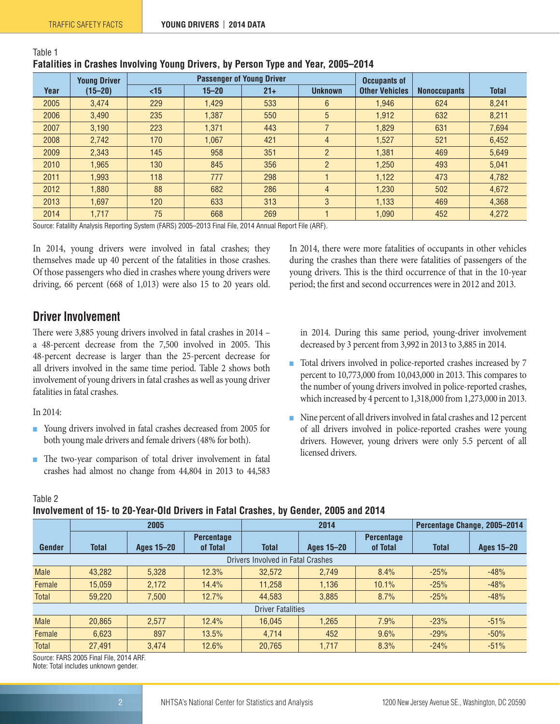| <b>I GUILLOU III VIGOILOU IIIIVIIIIIIII IVAIII DIIIVOID, BY I VIDOII IYAO GIIG TOGI, LOOD LUTT</b> |                     |     |                                  |       |                |                       |                     |              |
|----------------------------------------------------------------------------------------------------|---------------------|-----|----------------------------------|-------|----------------|-----------------------|---------------------|--------------|
|                                                                                                    | <b>Young Driver</b> |     | <b>Passenger of Young Driver</b> |       |                |                       |                     |              |
| Year                                                                                               | $(15 - 20)$         | <15 | $15 - 20$                        | $21+$ | <b>Unknown</b> | <b>Other Vehicles</b> | <b>Nonoccupants</b> | <b>Total</b> |
| 2005                                                                                               | 3,474               | 229 | 1,429                            | 533   | 6              | 1,946                 | 624                 | 8,241        |
| 2006                                                                                               | 3,490               | 235 | 1,387                            | 550   | 5              | 1,912                 | 632                 | 8,211        |
| 2007                                                                                               | 3,190               | 223 | 1,371                            | 443   |                | 1,829                 | 631                 | 7,694        |
| 2008                                                                                               | 2,742               | 170 | 1,067                            | 421   | $\overline{4}$ | 1,527                 | 521                 | 6,452        |
| 2009                                                                                               | 2,343               | 145 | 958                              | 351   | $\overline{2}$ | 1,381                 | 469                 | 5.649        |
| 2010                                                                                               | 1,965               | 130 | 845                              | 356   | $\overline{2}$ | 1,250                 | 493                 | 5.041        |
| 2011                                                                                               | 1,993               | 118 | 777                              | 298   |                | 1,122                 | 473                 | 4,782        |
| 2012                                                                                               | 1.880               | 88  | 682                              | 286   | $\overline{4}$ | 1,230                 | 502                 | 4,672        |
| 2013                                                                                               | 1,697               | 120 | 633                              | 313   | 3              | 1,133                 | 469                 | 4,368        |
| 2014                                                                                               | 1,717               | 75  | 668                              | 269   |                | 1,090                 | 452                 | 4,272        |

### **Fatalities in Crashes Involving Young Drivers, by Person Type and Year, 2005–2014**

Source: Fatalilty Analysis Reporting System (FARS) 2005–2013 Final File, 2014 Annual Report File (ARF).

In 2014, young drivers were involved in fatal crashes; they themselves made up 40 percent of the fatalities in those crashes. Of those passengers who died in crashes where young drivers were driving, 66 percent (668 of 1,013) were also 15 to 20 years old.

<span id="page-1-0"></span>**Driver Involvement**

There were 3,885 young drivers involved in fatal crashes in 2014 – a 48-percent decrease from the 7,500 involved in 2005. This 48-percent decrease is larger than the 25-percent decrease for all drivers involved in the same time period. Table 2 shows both involvement of young drivers in fatal crashes as well as young driver fatalities in fatal crashes.

In 2014:

Table 1

- Young drivers involved in fatal crashes decreased from 2005 for both young male drivers and female drivers (48% for both).
- The two-year comparison of total driver involvement in fatal crashes had almost no change from 44,804 in 2013 to 44,583

In 2014, there were more fatalities of occupants in other vehicles during the crashes than there were fatalities of passengers of the young drivers. This is the third occurrence of that in the 10-year period; the first and second occurrences were in 2012 and 2013.

in 2014. During this same period, young-driver involvement decreased by 3 percent from 3,992 in 2013 to 3,885 in 2014.

- Total drivers involved in police-reported crashes increased by 7 percent to 10,773,000 from 10,043,000 in 2013. This compares to the number of young drivers involved in police-reported crashes, which increased by 4 percent to 1,318,000 from 1,273,000 in 2013.
- Nine percent of all drivers involved in fatal crashes and 12 percent of all drivers involved in police-reported crashes were young drivers. However, young drivers were only 5.5 percent of all licensed drivers.

Table 2

#### **Involvement of 15- to 20-Year-Old Drivers in Fatal Crashes, by Gender, 2005 and 2014**

|                          | 2005         |                   |                   | 2014                              |                   |                   | Percentage Change, 2005-2014 |                   |
|--------------------------|--------------|-------------------|-------------------|-----------------------------------|-------------------|-------------------|------------------------------|-------------------|
|                          |              |                   | <b>Percentage</b> |                                   |                   | <b>Percentage</b> |                              |                   |
| <b>Gender</b>            | <b>Total</b> | <b>Ages 15-20</b> | of Total          | <b>Total</b>                      | <b>Ages 15-20</b> | of Total          | <b>Total</b>                 | <b>Ages 15-20</b> |
|                          |              |                   |                   | Drivers Involved in Fatal Crashes |                   |                   |                              |                   |
| <b>Male</b>              | 43.282       | 5.328             | 12.3%             | 32.572                            | 2.749             | 8.4%              | $-25%$                       | $-48%$            |
| Female                   | 15.059       | 2.172             | 14.4%             | 11.258                            | 1.136             | 10.1%             | $-25%$                       | $-48%$            |
| <b>Total</b>             | 59,220       | 7,500             | 12.7%             | 44.583                            | 3,885             | 8.7%              | $-25%$                       | $-48%$            |
| <b>Driver Fatalities</b> |              |                   |                   |                                   |                   |                   |                              |                   |
| <b>Male</b>              | 20.865       | 2.577             | 12.4%             | 16.045                            | 1.265             | 7.9%              | $-23%$                       | $-51%$            |
| Female                   | 6.623        | 897               | 13.5%             | 4.714                             | 452               | 9.6%              | $-29%$                       | $-50%$            |
| <b>Total</b>             | 27,491       | 3,474             | 12.6%             | 20,765                            | 1,717             | 8.3%              | $-24%$                       | $-51%$            |

Source: FARS 2005 Final File, 2014 ARF. Note: Total includes unknown gender.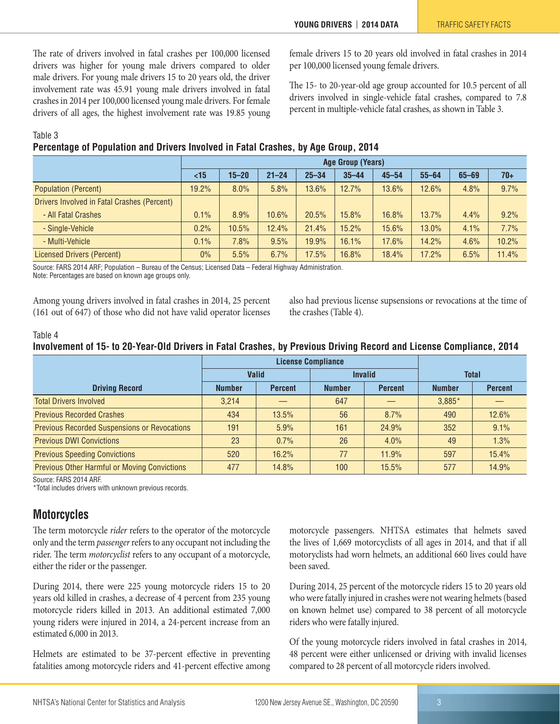The rate of drivers involved in fatal crashes per 100,000 licensed drivers was higher for young male drivers compared to older male drivers. For young male drivers 15 to 20 years old, the driver involvement rate was 45.91 young male drivers involved in fatal crashes in 2014 per 100,000 licensed young male drivers. For female drivers of all ages, the highest involvement rate was 19.85 young female drivers 15 to 20 years old involved in fatal crashes in 2014 per 100,000 licensed young female drivers.

The 15- to 20-year-old age group accounted for 10.5 percent of all drivers involved in single-vehicle fatal crashes, compared to 7.8 percent in multiple-vehicle fatal crashes, as shown in Table 3.

#### Table 3

#### **Percentage of Population and Drivers Involved in Fatal Crashes, by Age Group, 2014**

|                                             | <b>Age Group (Years)</b> |           |           |           |           |           |           |           |       |
|---------------------------------------------|--------------------------|-----------|-----------|-----------|-----------|-----------|-----------|-----------|-------|
|                                             | <15                      | $15 - 20$ | $21 - 24$ | $25 - 34$ | $35 - 44$ | $45 - 54$ | $55 - 64$ | $65 - 69$ | $70+$ |
| <b>Population (Percent)</b>                 | 19.2%                    | 8.0%      | 5.8%      | 13.6%     | 12.7%     | 13.6%     | 12.6%     | 4.8%      | 9.7%  |
| Drivers Involved in Fatal Crashes (Percent) |                          |           |           |           |           |           |           |           |       |
| - All Fatal Crashes                         | 0.1%                     | 8.9%      | 10.6%     | 20.5%     | 15.8%     | 16.8%     | 13.7%     | 4.4%      | 9.2%  |
| - Single-Vehicle                            | 0.2%                     | 10.5%     | 12.4%     | 21.4%     | 15.2%     | 15.6%     | 13.0%     | 4.1%      | 7.7%  |
| - Multi-Vehicle                             | 0.1%                     | 7.8%      | 9.5%      | 19.9%     | 16.1%     | 17.6%     | 14.2%     | 4.6%      | 10.2% |
| <b>Licensed Drivers (Percent)</b>           | $0\%$                    | 5.5%      | 6.7%      | 17.5%     | 16.8%     | 18.4%     | 17.2%     | 6.5%      | 11.4% |

Source: FARS 2014 ARF; Population – Bureau of the Census; Licensed Data – Federal Highway Administration.

Note: Percentages are based on known age groups only.

Among young drivers involved in fatal crashes in 2014, 25 percent (161 out of 647) of those who did not have valid operator licenses also had previous license supsensions or revocations at the time of the crashes (Table 4).

#### Table 4

#### **Involvement of 15- to 20-Year-Old Drivers in Fatal Crashes, by Previous Driving Record and License Compliance, 2014**

|                                                     |               | <b>License Compliance</b> |                |                |               |                |
|-----------------------------------------------------|---------------|---------------------------|----------------|----------------|---------------|----------------|
|                                                     | <b>Valid</b>  |                           | <b>Invalid</b> |                | <b>Total</b>  |                |
| <b>Driving Record</b>                               | <b>Number</b> | <b>Percent</b>            | <b>Number</b>  | <b>Percent</b> | <b>Number</b> | <b>Percent</b> |
| <b>Total Drivers Involved</b>                       | 3.214         |                           | 647            |                | $3,885*$      |                |
| <b>Previous Recorded Crashes</b>                    | 434           | 13.5%                     | 56             | 8.7%           | 490           | 12.6%          |
| <b>Previous Recorded Suspensions or Revocations</b> | 191           | 5.9%                      | 161            | 24.9%          | 352           | 9.1%           |
| <b>Previous DWI Convictions</b>                     | 23            | 0.7%                      | 26             | 4.0%           | 49            | 1.3%           |
| <b>Previous Speeding Convictions</b>                | 520           | 16.2%                     | 77             | 11.9%          | 597           | 15.4%          |
| <b>Previous Other Harmful or Moving Convictions</b> | 477           | 14.8%                     | 100            | 15.5%          | 577           | 14.9%          |

Source: FARS 2014 ARF.

\*Total includes drivers with unknown previous records.

## <span id="page-2-0"></span>**Motorcycles**

The term motorcycle *rider* refers to the operator of the motorcycle only and the term *passenger* refers to any occupant not including the rider. The term *motorcyclist* refers to any occupant of a motorcycle, either the rider or the passenger.

During 2014, there were 225 young motorcycle riders 15 to 20 years old killed in crashes, a decrease of 4 percent from 235 young motorcycle riders killed in 2013. An additional estimated 7,000 young riders were injured in 2014, a 24-percent increase from an estimated 6,000 in 2013.

Helmets are estimated to be 37-percent effective in preventing fatalities among motorcycle riders and 41-percent effective among motorcycle passengers. NHTSA estimates that helmets saved the lives of 1,669 motorcyclists of all ages in 2014, and that if all motoryclists had worn helmets, an additional 660 lives could have been saved.

During 2014, 25 percent of the motorcycle riders 15 to 20 years old who were fatally injured in crashes were not wearing helmets (based on known helmet use) compared to 38 percent of all motorcycle riders who were fatally injured.

Of the young motorcycle riders involved in fatal crashes in 2014, 48 percent were either unlicensed or driving with invalid licenses compared to 28 percent of all motorcycle riders involved.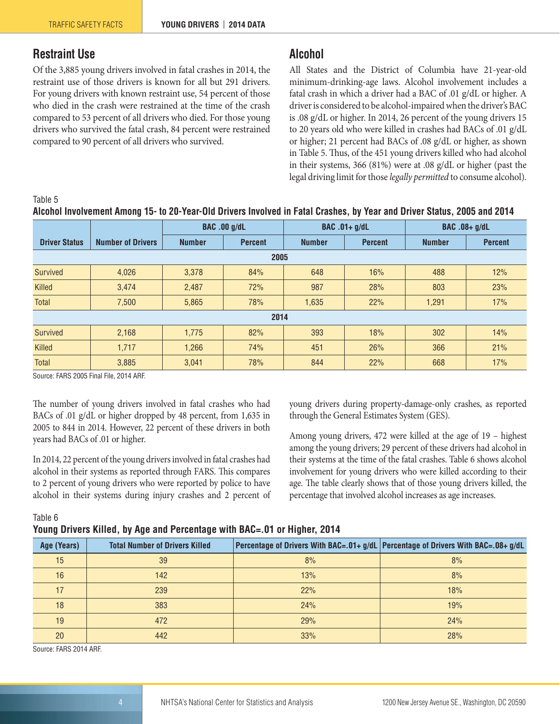## <span id="page-3-0"></span>**Restraint Use**

Of the 3,885 young drivers involved in fatal crashes in 2014, the restraint use of those drivers is known for all but 291 drivers. For young drivers with known restraint use, 54 percent of those who died in the crash were restrained at the time of the crash compared to 53 percent of all drivers who died. For those young drivers who survived the fatal crash, 84 percent were restrained compared to 90 percent of all drivers who survived.

## <span id="page-3-1"></span>**Alcohol**

All States and the District of Columbia have 21-year-old minimum-drinking-age laws. Alcohol involvement includes a fatal crash in which a driver had a BAC of .01 g/dL or higher. A driver is considered to be alcohol-impaired when the driver's BAC is .08 g/dL or higher. In 2014, 26 percent of the young drivers 15 to 20 years old who were killed in crashes had BACs of .01 g/dL or higher; 21 percent had BACs of .08 g/dL or higher, as shown in Table 5. Thus, of the 451 young drivers killed who had alcohol in their systems, 366 (81%) were at .08 g/dL or higher (past the legal driving limit for those *legally permitted* to consume alcohol).

#### Table 5

|  | Alcohol Involvement Among 15- to 20-Year-Old Drivers Involved in Fatal Crashes, by Year and Driver Status, 2005 and 2014 |  |  |  |
|--|--------------------------------------------------------------------------------------------------------------------------|--|--|--|
|--|--------------------------------------------------------------------------------------------------------------------------|--|--|--|

|                      |                          | <b>BAC.00 g/dL</b> |                | <b>BAC</b> .01+ g/dL |                | BAC .08+ g/dL |                |  |
|----------------------|--------------------------|--------------------|----------------|----------------------|----------------|---------------|----------------|--|
| <b>Driver Status</b> | <b>Number of Drivers</b> | <b>Number</b>      | <b>Percent</b> | <b>Number</b>        | <b>Percent</b> | <b>Number</b> | <b>Percent</b> |  |
|                      | 2005                     |                    |                |                      |                |               |                |  |
| Survived             | 4,026                    | 3,378              | 84%            | 648                  | 16%            | 488           | 12%            |  |
| Killed               | 3,474                    | 2,487              | 72%            | 987                  | 28%            | 803           | 23%            |  |
| Total                | 7,500                    | 5,865              | 78%            | 1,635                | 22%            | 1,291         | 17%            |  |
| 2014                 |                          |                    |                |                      |                |               |                |  |
| Survived             | 2,168                    | 1,775              | 82%            | 393                  | 18%            | 302           | 14%            |  |
| Killed               | 1,717                    | 1,266              | 74%            | 451                  | 26%            | 366           | 21%            |  |
| Total                | 3,885                    | 3,041              | 78%            | 844                  | 22%            | 668           | 17%            |  |

Source: FARS 2005 Final File, 2014 ARF.

The number of young drivers involved in fatal crashes who had BACs of .01 g/dL or higher dropped by 48 percent, from 1,635 in 2005 to 844 in 2014. However, 22 percent of these drivers in both years had BACs of .01 or higher.

In 2014, 22 percent of the young drivers involved in fatal crashes had alcohol in their systems as reported through FARS. This compares to 2 percent of young drivers who were reported by police to have alcohol in their systems during injury crashes and 2 percent of young drivers during property-damage-only crashes, as reported through the General Estimates System (GES).

Among young drivers, 472 were killed at the age of 19 – highest among the young drivers; 29 percent of these drivers had alcohol in their systems at the time of the fatal crashes. Table 6 shows alcohol involvement for young drivers who were killed according to their age. The table clearly shows that of those young drivers killed, the percentage that involved alcohol increases as age increases.

Table 6

#### **Young Drivers Killed, by Age and Percentage with BAC=.01 or Higher, 2014**

| Age (Years) | <b>Total Number of Drivers Killed</b> |     | Percentage of Drivers With BAC=.01+ g/dL Percentage of Drivers With BAC=.08+ g/dL |
|-------------|---------------------------------------|-----|-----------------------------------------------------------------------------------|
| 15          | 39                                    | 8%  | 8%                                                                                |
| 16          | 142                                   | 13% | 8%                                                                                |
|             | 239                                   | 22% | 18%                                                                               |
| 18          | 383                                   | 24% | 19%                                                                               |
| 19          | 472                                   | 29% | 24%                                                                               |
| 20          | 442                                   | 33% | 28%                                                                               |

Source: FARS 2014 ARF.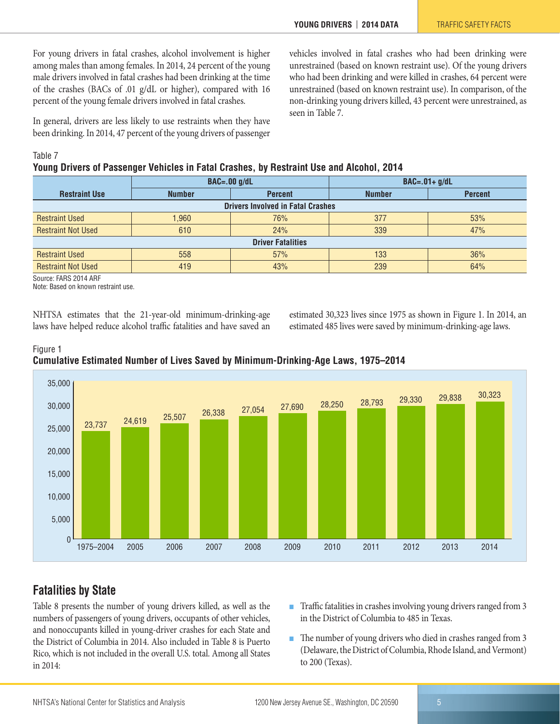For young drivers in fatal crashes, alcohol involvement is higher among males than among females. In 2014, 24 percent of the young male drivers involved in fatal crashes had been drinking at the time of the crashes (BACs of .01 g/dL or higher), compared with 16 percent of the young female drivers involved in fatal crashes.

In general, drivers are less likely to use restraints when they have been drinking. In 2014, 47 percent of the young drivers of passenger vehicles involved in fatal crashes who had been drinking were unrestrained (based on known restraint use). Of the young drivers who had been drinking and were killed in crashes, 64 percent were unrestrained (based on known restraint use). In comparison, of the non-drinking young drivers killed, 43 percent were unrestrained, as seen in Table 7.

Table 7

**Young Drivers of Passenger Vehicles in Fatal Crashes, by Restraint Use and Alcohol, 2014**

|                                          | $BAC=.00$ g/dL                  |     | $BAC=.01+g/dL$ |                |  |  |  |  |
|------------------------------------------|---------------------------------|-----|----------------|----------------|--|--|--|--|
| <b>Restraint Use</b>                     | <b>Number</b><br><b>Percent</b> |     | <b>Number</b>  | <b>Percent</b> |  |  |  |  |
| <b>Drivers Involved in Fatal Crashes</b> |                                 |     |                |                |  |  |  |  |
| <b>Restraint Used</b>                    | 1,960                           | 76% | 377            | 53%            |  |  |  |  |
| <b>Restraint Not Used</b>                | 610                             | 24% | 339            | 47%            |  |  |  |  |
| <b>Driver Fatalities</b>                 |                                 |     |                |                |  |  |  |  |
| <b>Restraint Used</b>                    | 558                             | 57% | 133            | 36%            |  |  |  |  |
| <b>Restraint Not Used</b>                | 419                             | 43% | 239            | 64%            |  |  |  |  |

Source: FARS 2014 ARF

Note: Based on known restraint use.

NHTSA estimates that the 21-year-old minimum-drinking-age laws have helped reduce alcohol traffic fatalities and have saved an estimated 30,323 lives since 1975 as shown in Figure 1. In 2014, an estimated 485 lives were saved by minimum-drinking-age laws.





## <span id="page-4-0"></span>**Fatalities by State**

Table 8 presents the number of young drivers killed, as well as the numbers of passengers of young drivers, occupants of other vehicles, and nonoccupants killed in young-driver crashes for each State and the District of Columbia in 2014. Also included in Table 8 is Puerto Rico, which is not included in the overall U.S. total. Among all States in 2014:

- Traffic fatalities in crashes involving young drivers ranged from 3 in the District of Columbia to 485 in Texas.
- The number of young drivers who died in crashes ranged from 3 (Delaware, the District of Columbia, Rhode Island, and Vermont) to 200 (Texas).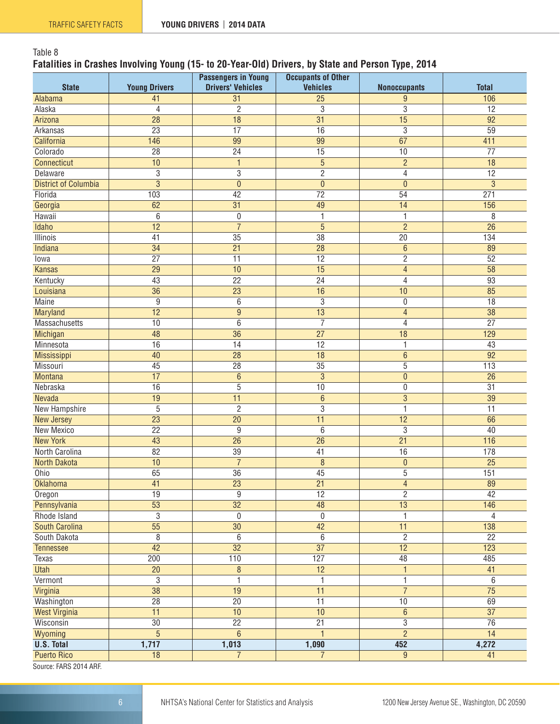#### Table 8 **Fatalities in Crashes Involving Young (15- to 20-Year-Old) Drivers, by State and Person Type, 2014**

| <b>State</b>                           | <b>Young Drivers</b> | <b>Passengers in Young</b><br><b>Drivers' Vehicles</b> | <b>Occupants of Other</b><br><b>Vehicles</b> | <b>Nonoccupants</b> | <b>Total</b>     |
|----------------------------------------|----------------------|--------------------------------------------------------|----------------------------------------------|---------------------|------------------|
| Alabama                                | 41                   | 31                                                     | $\overline{25}$                              | 9                   | 106              |
| Alaska                                 | 4                    | $\overline{2}$                                         | $\overline{3}$                               | $\overline{3}$      | $\overline{12}$  |
| Arizona                                | $\overline{28}$      | $\overline{18}$                                        | $\overline{31}$                              | $\overline{15}$     | $\overline{92}$  |
| Arkansas                               | $\overline{23}$      | $\overline{17}$                                        | $\overline{16}$                              | 3                   | $\overline{59}$  |
| California                             | 146                  | 99                                                     | 99                                           | 67                  | 411              |
| Colorado                               | 28                   | 24                                                     | $\overline{15}$                              | 10                  | $\overline{77}$  |
| Connecticut                            | 10                   | $\mathbf{1}$                                           | 5                                            | $\overline{c}$      | $\overline{18}$  |
| Delaware                               | $\overline{3}$       | $\overline{3}$                                         | $\overline{2}$                               | $\overline{4}$      | $\overline{12}$  |
| <b>District of Columbia</b>            | $\overline{3}$       | $\mathbf 0$                                            | $\overline{0}$                               | $\mathbf{0}$        | 3                |
| Florida                                | 103                  | 42                                                     | 72                                           | 54                  | 271              |
| Georgia                                | 62                   | $\overline{31}$                                        | 49                                           | 14                  | 156              |
| Hawaii                                 | 6                    | $\boldsymbol{0}$                                       | 1                                            | 1                   | 8                |
| Idaho                                  | 12                   | $\overline{7}$                                         | $\overline{5}$                               | $\overline{c}$      | $\overline{26}$  |
| Illinois                               | 41                   | $\overline{35}$                                        | $\overline{38}$                              | $\overline{20}$     | $\overline{134}$ |
| Indiana                                | $\overline{34}$      | $\overline{21}$                                        | $\overline{28}$                              | $\overline{6}$      | 89               |
| Towa                                   | $\overline{27}$      | $\overline{11}$                                        | $\overline{12}$                              | $\overline{2}$      | $\overline{52}$  |
| <b>Kansas</b>                          | $\overline{29}$      | $\overline{10}$                                        | $\overline{15}$                              | $\overline{4}$      | $\overline{58}$  |
| Kentucky                               | 43                   | 22                                                     | 24                                           | 4                   | 93               |
| Louisiana                              | $\overline{36}$      | $\overline{23}$                                        | 16                                           | 10                  | 85               |
| <b>Maine</b>                           | $\overline{9}$       | 6                                                      | $\overline{3}$                               | $\boldsymbol{0}$    | $\overline{18}$  |
| Maryland                               | $\overline{12}$      | $\overline{9}$                                         | $\overline{13}$                              | $\overline{4}$      | $\overline{38}$  |
| Massachusetts                          | 10                   | $6\,$                                                  | $\overline{7}$                               | $\sqrt{4}$          | $\overline{27}$  |
|                                        | 48                   | 36                                                     | $\overline{27}$                              | 18                  | 129              |
| Michigan<br>Minnesota                  | 16                   | 14                                                     | $\overline{12}$                              | 1                   | 43               |
|                                        | 40                   | $\overline{28}$                                        | $\overline{18}$                              | $\,6\,$             | $\overline{92}$  |
| Mississippi<br>Missouri                | 45                   | 28                                                     | 35                                           | 5                   | 113              |
| <b>Montana</b>                         | 17                   | $6\phantom{1}6$                                        | $\overline{3}$                               | $\pmb{0}$           | 26               |
| Nebraska                               | 16                   | $\overline{5}$                                         | 10                                           | $\boldsymbol{0}$    | 31               |
| Nevada                                 | 19                   | $\overline{11}$                                        | $6\phantom{.}$                               | $\overline{3}$      | $\overline{39}$  |
| <b>New Hampshire</b>                   | $\overline{5}$       | $\overline{2}$                                         | $\overline{3}$                               | 1                   | $\overline{11}$  |
|                                        | $\overline{23}$      | 20                                                     | 11                                           | 12                  | 66               |
| <b>New Jersey</b><br><b>New Mexico</b> | 22                   | $\overline{9}$                                         | 6                                            | $\overline{3}$      | 40               |
| <b>New York</b>                        | 43                   | $\overline{26}$                                        | $\overline{26}$                              | $\overline{21}$     | 116              |
| North Carolina                         | $\overline{82}$      | $\overline{39}$                                        | 41                                           | 16                  | 178              |
| <b>North Dakota</b>                    | 10                   | $\overline{7}$                                         | 8                                            | $\pmb{0}$           | $\overline{25}$  |
| Ohio                                   | 65                   | $\overline{36}$                                        | 45                                           | $\overline{5}$      | 151              |
| Oklahoma                               | $\overline{41}$      | $\overline{23}$                                        | $\overline{21}$                              | $\overline{4}$      | 89               |
| Oregon                                 | 19                   | $\overline{9}$                                         | 12                                           | $\overline{2}$      | 42               |
| Pennsylvania                           | $\overline{53}$      | $\overline{32}$                                        | $\overline{48}$                              | $\overline{13}$     | 146              |
| Rhode Island                           | $\overline{3}$       | $\overline{0}$                                         | $\overline{0}$                               | $\overline{1}$      | $\overline{4}$   |
| <b>South Carolina</b>                  | $\overline{55}$      | $\overline{30}$                                        | 42                                           | 11                  | 138              |
| South Dakota                           | $\overline{8}$       | 6                                                      | $\overline{6}$                               | $\overline{2}$      | $\overline{22}$  |
| Tennessee                              | $\overline{42}$      | $\overline{32}$                                        | $\overline{37}$                              | $\overline{12}$     | 123              |
| Texas                                  | $\overline{200}$     | 110                                                    | 127                                          | 48                  | 485              |
| <b>Utah</b>                            | $\overline{20}$      | $\overline{\bf 8}$                                     | 12                                           | $\overline{1}$      | 41               |
| Vermont                                | $\overline{3}$       | 1                                                      | 1                                            | 1                   | 6                |
| Virginia                               | $\overline{38}$      | $\overline{19}$                                        | $\overline{11}$                              | $\overline{7}$      | $\overline{75}$  |
| Washington                             | 28                   | 20                                                     | $\overline{11}$                              | 10                  | 69               |
| <b>West Virginia</b>                   | 11                   | 10                                                     | 10                                           | $\,6\,$             | $\overline{37}$  |
| Wisconsin                              | 30                   | $\overline{22}$                                        | $\overline{21}$                              | $\overline{3}$      | $\overline{76}$  |
| Wyoming                                | $\overline{5}$       | $\overline{6}$                                         | $\mathbf{1}$                                 | $\overline{2}$      | $\overline{14}$  |
| <b>U.S. Total</b>                      | 1,717                | 1,013                                                  | 1,090                                        | 452                 | 4,272            |
| <b>Puerto Rico</b>                     | 18                   | $\overline{7}$                                         | $\overline{7}$                               | $9\,$               | 41               |

Source: FARS 2014 ARF.